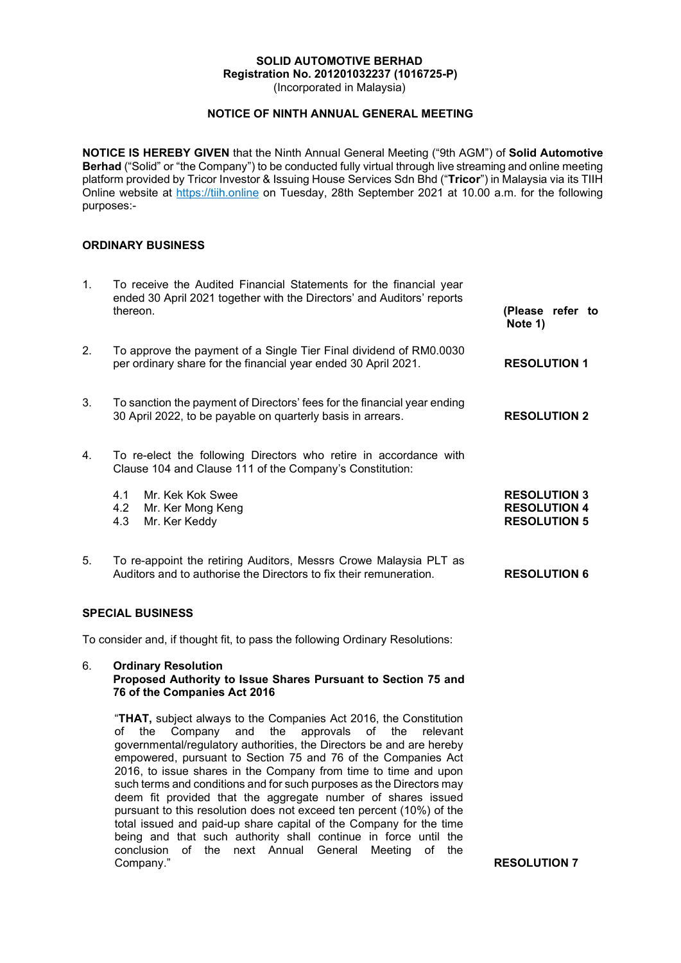#### SOLID AUTOMOTIVE BERHAD Registration No. 201201032237 (1016725-P)

(Incorporated in Malaysia)

# NOTICE OF NINTH ANNUAL GENERAL MEETING

NOTICE IS HEREBY GIVEN that the Ninth Annual General Meeting ("9th AGM") of Solid Automotive Berhad ("Solid" or "the Company") to be conducted fully virtual through live streaming and online meeting platform provided by Tricor Investor & Issuing House Services Sdn Bhd ("Tricor") in Malaysia via its TIIH Online website at https://tiih.online on Tuesday, 28th September 2021 at 10.00 a.m. for the following purposes:-

# ORDINARY BUSINESS

| $\mathbf{1}$ .          | To receive the Audited Financial Statements for the financial year<br>ended 30 April 2021 together with the Directors' and Auditors' reports<br>thereon.                                                              | (Please refer to<br>Note 1)                                       |
|-------------------------|-----------------------------------------------------------------------------------------------------------------------------------------------------------------------------------------------------------------------|-------------------------------------------------------------------|
| 2.                      | To approve the payment of a Single Tier Final dividend of RM0.0030<br>per ordinary share for the financial year ended 30 April 2021.                                                                                  | <b>RESOLUTION 1</b>                                               |
| 3.                      | To sanction the payment of Directors' fees for the financial year ending<br>30 April 2022, to be payable on quarterly basis in arrears.                                                                               | <b>RESOLUTION 2</b>                                               |
| 4 <sup>1</sup>          | To re-elect the following Directors who retire in accordance with<br>Clause 104 and Clause 111 of the Company's Constitution:                                                                                         |                                                                   |
|                         | Mr. Kek Kok Swee<br>4.1<br>4.2<br>Mr. Ker Mong Keng<br>4.3<br>Mr. Ker Keddy                                                                                                                                           | <b>RESOLUTION 3</b><br><b>RESOLUTION 4</b><br><b>RESOLUTION 5</b> |
| 5.                      | To re-appoint the retiring Auditors, Messrs Crowe Malaysia PLT as<br>Auditors and to authorise the Directors to fix their remuneration.                                                                               | <b>RESOLUTION 6</b>                                               |
| <b>SPECIAL BUSINESS</b> |                                                                                                                                                                                                                       |                                                                   |
|                         | To consider and, if thought fit, to pass the following Ordinary Resolutions:                                                                                                                                          |                                                                   |
| 6.                      | <b>Ordinary Resolution</b><br>Proposed Authority to Issue Shares Pursuant to Section 75 and<br>76 of the Companies Act 2016                                                                                           |                                                                   |
|                         | "THAT, subject always to the Companies Act 2016, the Constitution<br>the<br>approvals<br>of<br>the<br>Company<br>and<br>the<br>οf<br>relevant<br>governmental/regulatory authorities, the Directors be and are hereby |                                                                   |

empowered, pursuant to Section 75 and 76 of the Companies Act 2016, to issue shares in the Company from time to time and upon such terms and conditions and for such purposes as the Directors may deem fit provided that the aggregate number of shares issued pursuant to this resolution does not exceed ten percent (10%) of the total issued and paid-up share capital of the Company for the time being and that such authority shall continue in force until the conclusion of the next Annual General Meeting of the **Company."** RESOLUTION 7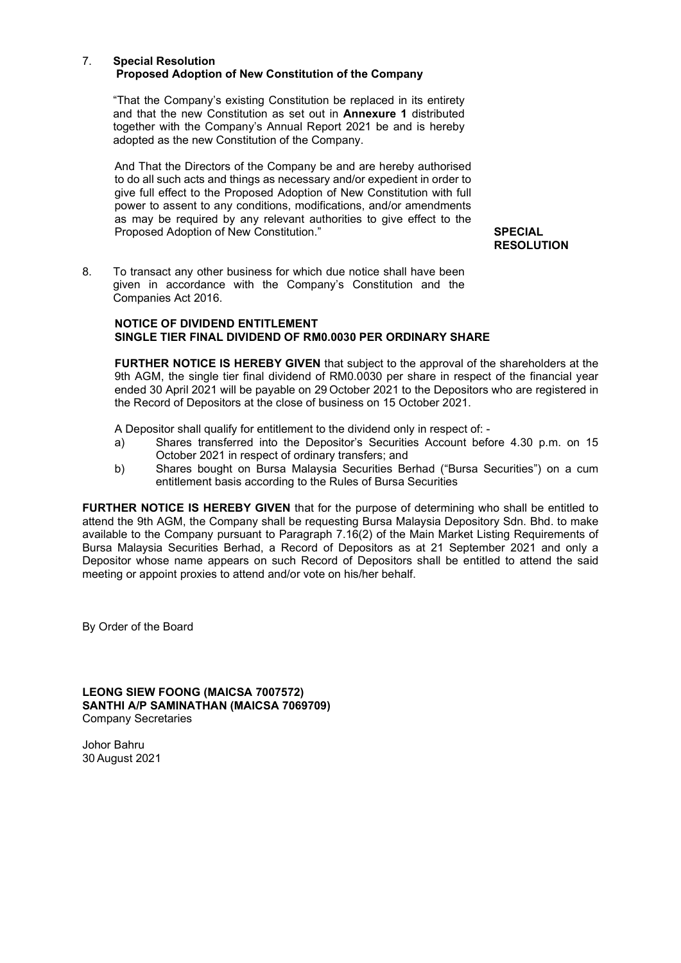#### 7. Special Resolution Proposed Adoption of New Constitution of the Company

 "That the Company's existing Constitution be replaced in its entirety and that the new Constitution as set out in Annexure 1 distributed together with the Company's Annual Report 2021 be and is hereby adopted as the new Constitution of the Company.

And That the Directors of the Company be and are hereby authorised to do all such acts and things as necessary and/or expedient in order to give full effect to the Proposed Adoption of New Constitution with full power to assent to any conditions, modifications, and/or amendments as may be required by any relevant authorities to give effect to the Proposed Adoption of New Constitution." SPECIAL

**RESOLUTION** 

8. To transact any other business for which due notice shall have been given in accordance with the Company's Constitution and the Companies Act 2016.

#### NOTICE OF DIVIDEND ENTITLEMENT SINGLE TIER FINAL DIVIDEND OF RM0.0030 PER ORDINARY SHARE

FURTHER NOTICE IS HEREBY GIVEN that subject to the approval of the shareholders at the 9th AGM, the single tier final dividend of RM0.0030 per share in respect of the financial year ended 30 April 2021 will be payable on 29 October 2021 to the Depositors who are registered in the Record of Depositors at the close of business on 15 October 2021.

A Depositor shall qualify for entitlement to the dividend only in respect of: -

- a) Shares transferred into the Depositor's Securities Account before 4.30 p.m. on 15 October 2021 in respect of ordinary transfers; and
- b) Shares bought on Bursa Malaysia Securities Berhad ("Bursa Securities") on a cum entitlement basis according to the Rules of Bursa Securities

FURTHER NOTICE IS HEREBY GIVEN that for the purpose of determining who shall be entitled to attend the 9th AGM, the Company shall be requesting Bursa Malaysia Depository Sdn. Bhd. to make available to the Company pursuant to Paragraph 7.16(2) of the Main Market Listing Requirements of Bursa Malaysia Securities Berhad, a Record of Depositors as at 21 September 2021 and only a Depositor whose name appears on such Record of Depositors shall be entitled to attend the said meeting or appoint proxies to attend and/or vote on his/her behalf.

By Order of the Board

LEONG SIEW FOONG (MAICSA 7007572) SANTHI A/P SAMINATHAN (MAICSA 7069709) Company Secretaries

Johor Bahru 30 August 2021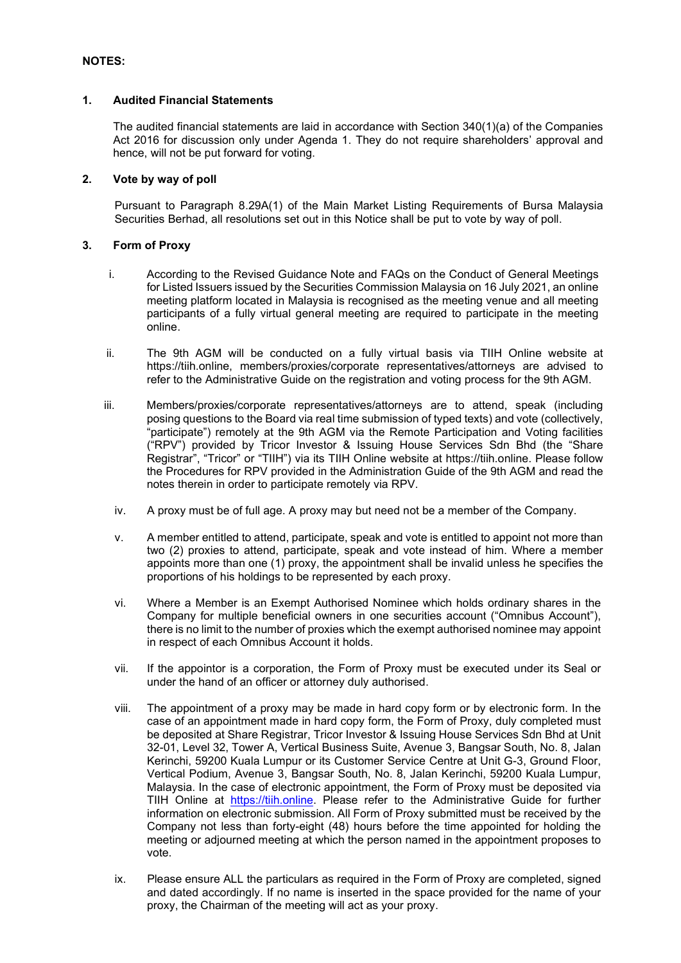# 1. Audited Financial Statements

The audited financial statements are laid in accordance with Section 340(1)(a) of the Companies Act 2016 for discussion only under Agenda 1. They do not require shareholders' approval and hence, will not be put forward for voting.

# 2. Vote by way of poll

Pursuant to Paragraph 8.29A(1) of the Main Market Listing Requirements of Bursa Malaysia Securities Berhad, all resolutions set out in this Notice shall be put to vote by way of poll.

# 3. Form of Proxy

- i. According to the Revised Guidance Note and FAQs on the Conduct of General Meetings for Listed Issuers issued by the Securities Commission Malaysia on 16 July 2021, an online meeting platform located in Malaysia is recognised as the meeting venue and all meeting participants of a fully virtual general meeting are required to participate in the meeting online.
- ii. The 9th AGM will be conducted on a fully virtual basis via TIIH Online website at https://tiih.online, members/proxies/corporate representatives/attorneys are advised to refer to the Administrative Guide on the registration and voting process for the 9th AGM.
- iii. Members/proxies/corporate representatives/attorneys are to attend, speak (including posing questions to the Board via real time submission of typed texts) and vote (collectively, "participate") remotely at the 9th AGM via the Remote Participation and Voting facilities ("RPV") provided by Tricor Investor & Issuing House Services Sdn Bhd (the "Share Registrar", "Tricor" or "TIIH") via its TIIH Online website at https://tiih.online. Please follow the Procedures for RPV provided in the Administration Guide of the 9th AGM and read the notes therein in order to participate remotely via RPV.
	- iv. A proxy must be of full age. A proxy may but need not be a member of the Company.
	- v. A member entitled to attend, participate, speak and vote is entitled to appoint not more than two (2) proxies to attend, participate, speak and vote instead of him. Where a member appoints more than one (1) proxy, the appointment shall be invalid unless he specifies the proportions of his holdings to be represented by each proxy.
	- vi. Where a Member is an Exempt Authorised Nominee which holds ordinary shares in the Company for multiple beneficial owners in one securities account ("Omnibus Account"), there is no limit to the number of proxies which the exempt authorised nominee may appoint in respect of each Omnibus Account it holds.
	- vii. If the appointor is a corporation, the Form of Proxy must be executed under its Seal or under the hand of an officer or attorney duly authorised.
	- viii. The appointment of a proxy may be made in hard copy form or by electronic form. In the case of an appointment made in hard copy form, the Form of Proxy, duly completed must be deposited at Share Registrar, Tricor Investor & Issuing House Services Sdn Bhd at Unit 32-01, Level 32, Tower A, Vertical Business Suite, Avenue 3, Bangsar South, No. 8, Jalan Kerinchi, 59200 Kuala Lumpur or its Customer Service Centre at Unit G-3, Ground Floor, Vertical Podium, Avenue 3, Bangsar South, No. 8, Jalan Kerinchi, 59200 Kuala Lumpur, Malaysia. In the case of electronic appointment, the Form of Proxy must be deposited via TIIH Online at https://tiih.online. Please refer to the Administrative Guide for further information on electronic submission. All Form of Proxy submitted must be received by the Company not less than forty-eight (48) hours before the time appointed for holding the meeting or adjourned meeting at which the person named in the appointment proposes to vote.
	- ix. Please ensure ALL the particulars as required in the Form of Proxy are completed, signed and dated accordingly. If no name is inserted in the space provided for the name of your proxy, the Chairman of the meeting will act as your proxy.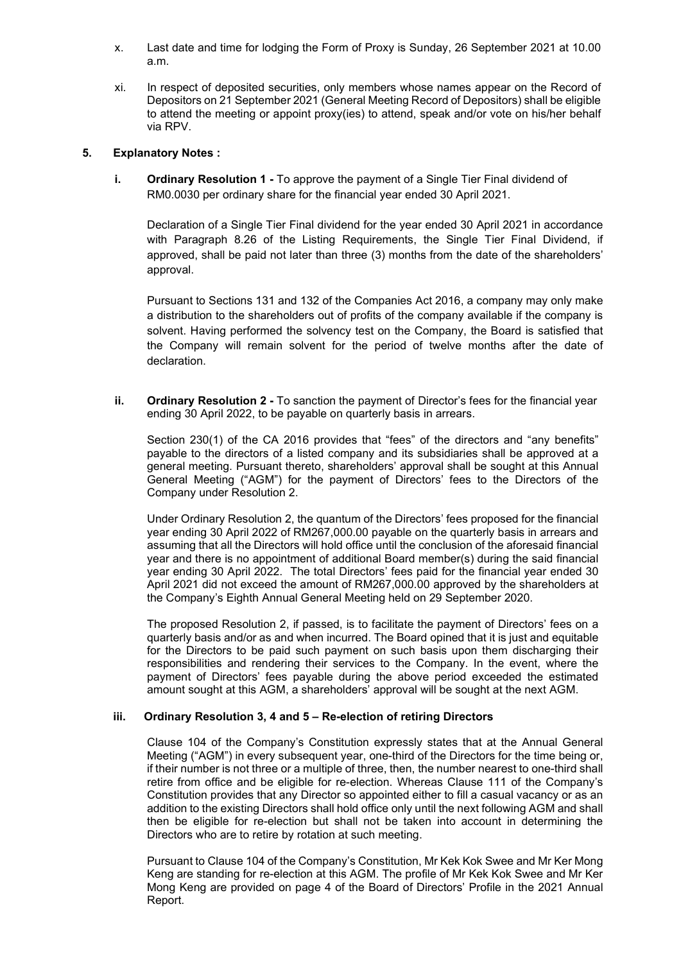- x. Last date and time for lodging the Form of Proxy is Sunday, 26 September 2021 at 10.00 a.m.
- xi. In respect of deposited securities, only members whose names appear on the Record of Depositors on 21 September 2021 (General Meeting Record of Depositors) shall be eligible to attend the meeting or appoint proxy(ies) to attend, speak and/or vote on his/her behalf via RPV.

# 5. Explanatory Notes :

 i. Ordinary Resolution 1 - To approve the payment of a Single Tier Final dividend of RM0.0030 per ordinary share for the financial year ended 30 April 2021.

Declaration of a Single Tier Final dividend for the year ended 30 April 2021 in accordance with Paragraph 8.26 of the Listing Requirements, the Single Tier Final Dividend, if approved, shall be paid not later than three (3) months from the date of the shareholders' approval.

Pursuant to Sections 131 and 132 of the Companies Act 2016, a company may only make a distribution to the shareholders out of profits of the company available if the company is solvent. Having performed the solvency test on the Company, the Board is satisfied that the Company will remain solvent for the period of twelve months after the date of declaration.

ii. **Ordinary Resolution 2** - To sanction the payment of Director's fees for the financial year ending 30 April 2022, to be payable on quarterly basis in arrears.

Section 230(1) of the CA 2016 provides that "fees" of the directors and "any benefits" payable to the directors of a listed company and its subsidiaries shall be approved at a general meeting. Pursuant thereto, shareholders' approval shall be sought at this Annual General Meeting ("AGM") for the payment of Directors' fees to the Directors of the Company under Resolution 2.

Under Ordinary Resolution 2, the quantum of the Directors' fees proposed for the financial year ending 30 April 2022 of RM267,000.00 payable on the quarterly basis in arrears and assuming that all the Directors will hold office until the conclusion of the aforesaid financial year and there is no appointment of additional Board member(s) during the said financial year ending 30 April 2022. The total Directors' fees paid for the financial year ended 30 April 2021 did not exceed the amount of RM267,000.00 approved by the shareholders at the Company's Eighth Annual General Meeting held on 29 September 2020.

The proposed Resolution 2, if passed, is to facilitate the payment of Directors' fees on a quarterly basis and/or as and when incurred. The Board opined that it is just and equitable for the Directors to be paid such payment on such basis upon them discharging their responsibilities and rendering their services to the Company. In the event, where the payment of Directors' fees payable during the above period exceeded the estimated amount sought at this AGM, a shareholders' approval will be sought at the next AGM.

### iii. Ordinary Resolution 3, 4 and 5 – Re-election of retiring Directors

Clause 104 of the Company's Constitution expressly states that at the Annual General Meeting ("AGM") in every subsequent year, one-third of the Directors for the time being or, if their number is not three or a multiple of three, then, the number nearest to one-third shall retire from office and be eligible for re-election. Whereas Clause 111 of the Company's Constitution provides that any Director so appointed either to fill a casual vacancy or as an addition to the existing Directors shall hold office only until the next following AGM and shall then be eligible for re-election but shall not be taken into account in determining the Directors who are to retire by rotation at such meeting.

Pursuant to Clause 104 of the Company's Constitution, Mr Kek Kok Swee and Mr Ker Mong Keng are standing for re-election at this AGM. The profile of Mr Kek Kok Swee and Mr Ker Mong Keng are provided on page 4 of the Board of Directors' Profile in the 2021 Annual Report.